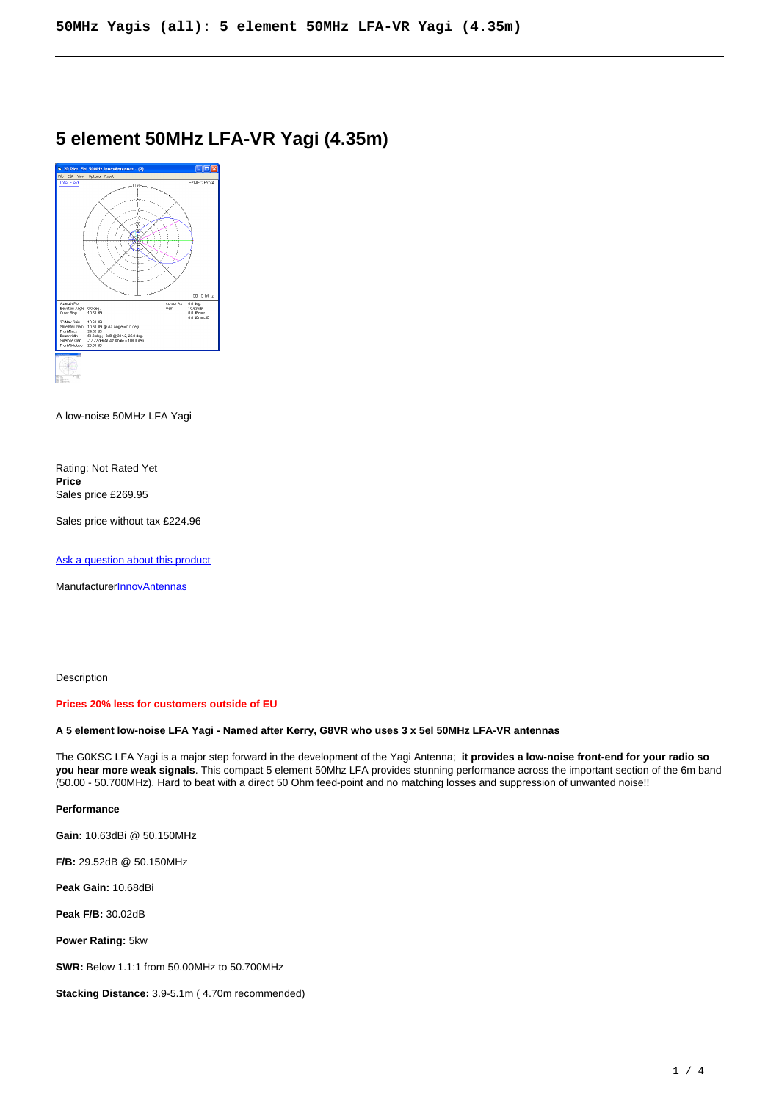# **5 element 50MHz LFA-VR Yagi (4.35m)**



A low-noise 50MHz LFA Yagi

Rating: Not Rated Yet **Price**  Sales price £269.95

Sales price without tax £224.96

[Ask a question about this product](https://innovantennas.com/index.php?option=com_virtuemart&view=productdetails&task=askquestion&virtuemart_product_id=101&virtuemart_category_id=3&tmpl=component)

Manufacturer[InnovAntennas](https://innovantennas.com/index.php?option=com_virtuemart&view=manufacturer&virtuemart_manufacturer_id=1&tmpl=component)

Description

#### **Prices 20% less for customers outside of EU**

## **A 5 element low-noise LFA Yagi - Named after Kerry, G8VR who uses 3 x 5el 50MHz LFA-VR antennas**

The G0KSC LFA Yagi is a major step forward in the development of the Yagi Antenna; **it provides a low-noise front-end for your radio so you hear more weak signals**. This compact 5 element 50Mhz LFA provides stunning performance across the important section of the 6m band (50.00 - 50.700MHz). Hard to beat with a direct 50 Ohm feed-point and no matching losses and suppression of unwanted noise!!

## **Performance**

**Gain:** 10.63dBi @ 50.150MHz

**F/B:** 29.52dB @ 50.150MHz

**Peak Gain:** 10.68dBi

**Peak F/B:** 30.02dB

**Power Rating:** 5kw

**SWR:** Below 1.1:1 from 50.00MHz to 50.700MHz

**Stacking Distance:** 3.9-5.1m ( 4.70m recommended)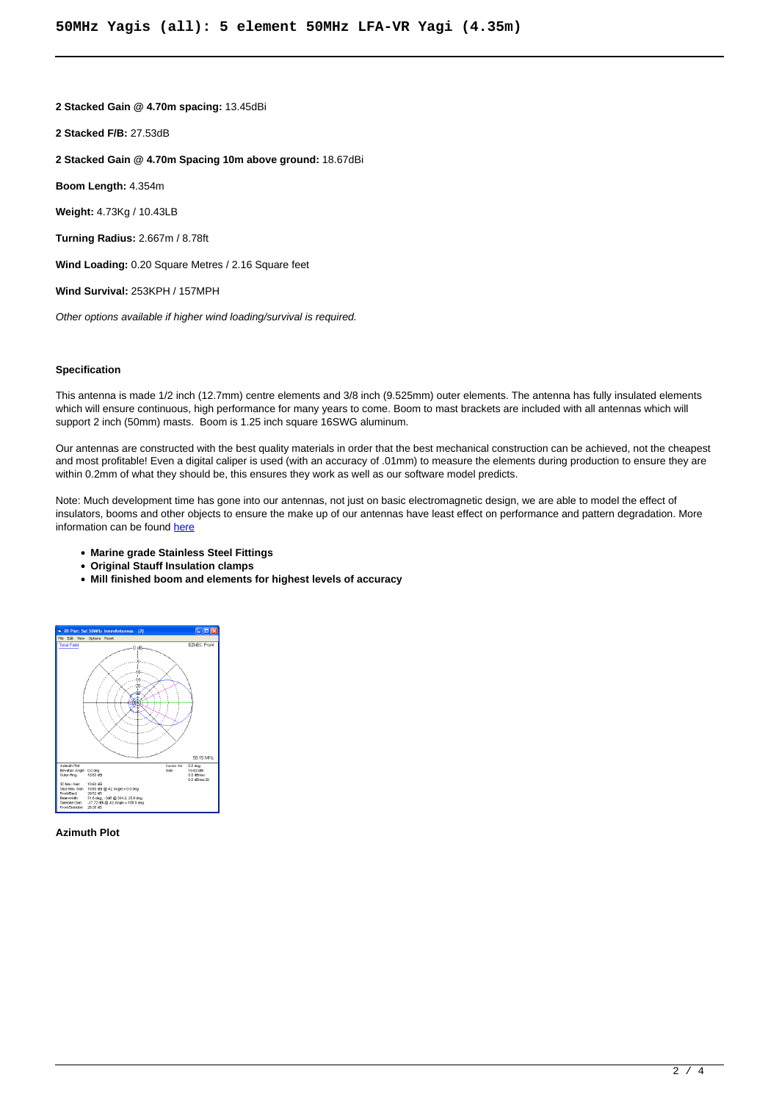**2 Stacked Gain @ 4.70m spacing:** 13.45dBi

**2 Stacked F/B:** 27.53dB

**2 Stacked Gain @ 4.70m Spacing 10m above ground:** 18.67dBi

**Boom Length:** 4.354m

**Weight:** 4.73Kg / 10.43LB

**Turning Radius:** 2.667m / 8.78ft

**Wind Loading:** 0.20 Square Metres / 2.16 Square feet

**Wind Survival:** 253KPH / 157MPH

Other options available if higher wind loading/survival is required.

## **Specification**

This antenna is made 1/2 inch (12.7mm) centre elements and 3/8 inch (9.525mm) outer elements. The antenna has fully insulated elements which will ensure continuous, high performance for many years to come. Boom to mast brackets are included with all antennas which will support 2 inch (50mm) masts. Boom is 1.25 inch square 16SWG aluminum.

Our antennas are constructed with the best quality materials in order that the best mechanical construction can be achieved, not the cheapest and most profitable! Even a digital caliper is used (with an accuracy of .01mm) to measure the elements during production to ensure they are within 0.2mm of what they should be, this ensures they work as well as our software model predicts.

Note: Much development time has gone into our antennas, not just on basic electromagnetic design, we are able to model the effect of insulators, booms and other objects to ensure the make up of our antennas have least effect on performance and pattern degradation. More information can be found [here](module-guide.html)

- **Marine grade Stainless Steel Fittings**
- **Original Stauff Insulation clamps**
- **Mill finished boom and elements for highest levels of accuracy**



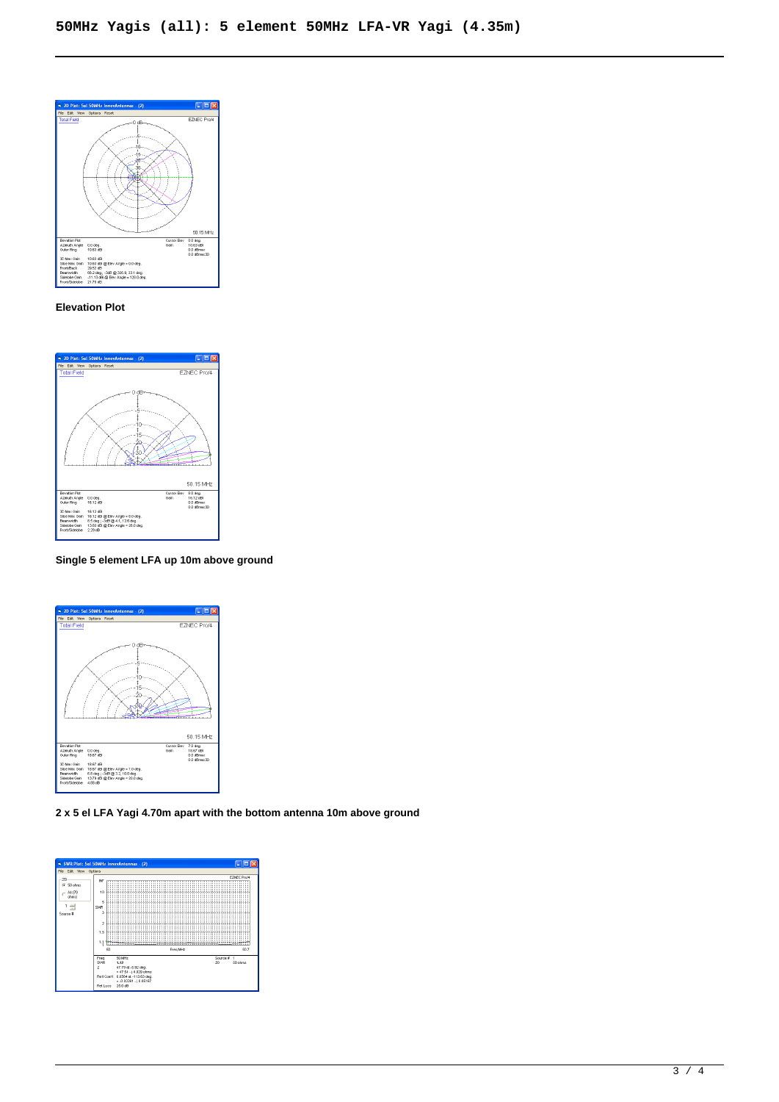

## **Elevation Plot**



**Single 5 element LFA up 10m above ground**



**2 x 5 el LFA Yagi 4.70m apart with the bottom antenna 10m above ground**